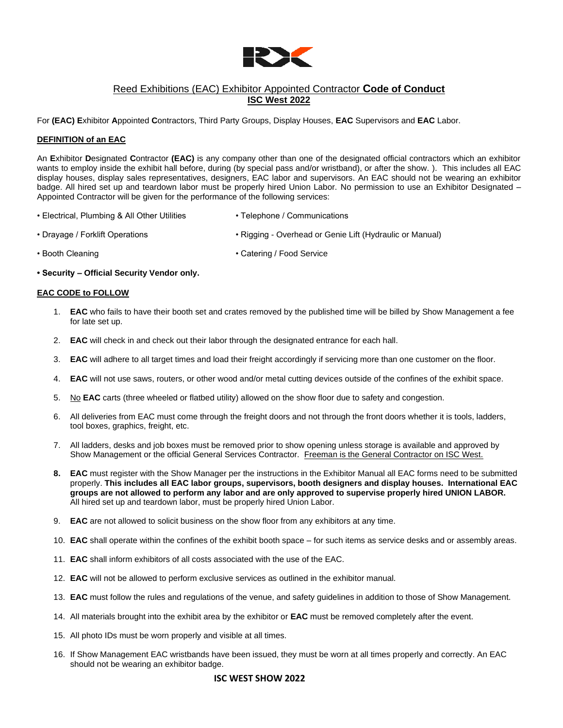

## Reed Exhibitions (EAC) Exhibitor Appointed Contractor **Code of Conduct ISC West 2022**

For **(EAC) E**xhibitor **A**ppointed **C**ontractors, Third Party Groups, Display Houses, **EAC** Supervisors and **EAC** Labor.

## **DEFINITION of an EAC**

An **E**xhibitor **D**esignated **C**ontractor **(EAC)** is any company other than one of the designated official contractors which an exhibitor wants to employ inside the exhibit hall before, during (by special pass and/or wristband), or after the show. ). This includes all EAC display houses, display sales representatives, designers, EAC labor and supervisors. An EAC should not be wearing an exhibitor badge. All hired set up and teardown labor must be properly hired Union Labor. No permission to use an Exhibitor Designated – Appointed Contractor will be given for the performance of the following services:

- Electrical, Plumbing & All Other Utilities Telephone / Communications
- Drayage / Forklift Operations **Formula Communist Provident Communist** Provident Operations Rigging Overhead or Genie Lift (Hydraulic or Manual)
- Booth Cleaning  **Catering / Food Service**
- **Security – Official Security Vendor only.**

## **EAC CODE to FOLLOW**

- 1. **EAC** who fails to have their booth set and crates removed by the published time will be billed by Show Management a fee for late set up.
- 2. **EAC** will check in and check out their labor through the designated entrance for each hall.
- 3. **EAC** will adhere to all target times and load their freight accordingly if servicing more than one customer on the floor.
- 4. **EAC** will not use saws, routers, or other wood and/or metal cutting devices outside of the confines of the exhibit space.
- 5. No **EAC** carts (three wheeled or flatbed utility) allowed on the show floor due to safety and congestion.
- 6. All deliveries from EAC must come through the freight doors and not through the front doors whether it is tools, ladders, tool boxes, graphics, freight, etc.
- 7. All ladders, desks and job boxes must be removed prior to show opening unless storage is available and approved by Show Management or the official General Services Contractor. Freeman is the General Contractor on ISC West.
- **8. EAC** must register with the Show Manager per the instructions in the Exhibitor Manual all EAC forms need to be submitted properly. **This includes all EAC labor groups, supervisors, booth designers and display houses. International EAC groups are not allowed to perform any labor and are only approved to supervise properly hired UNION LABOR.** All hired set up and teardown labor, must be properly hired Union Labor.
- 9. **EAC** are not allowed to solicit business on the show floor from any exhibitors at any time.
- 10. **EAC** shall operate within the confines of the exhibit booth space for such items as service desks and or assembly areas.
- 11. **EAC** shall inform exhibitors of all costs associated with the use of the EAC.
- 12. **EAC** will not be allowed to perform exclusive services as outlined in the exhibitor manual.
- 13. **EAC** must follow the rules and regulations of the venue, and safety guidelines in addition to those of Show Management.
- 14. All materials brought into the exhibit area by the exhibitor or **EAC** must be removed completely after the event.
- 15. All photo IDs must be worn properly and visible at all times.
- 16. If Show Management EAC wristbands have been issued, they must be worn at all times properly and correctly. An EAC should not be wearing an exhibitor badge.

## **ISC WEST SHOW 2022**